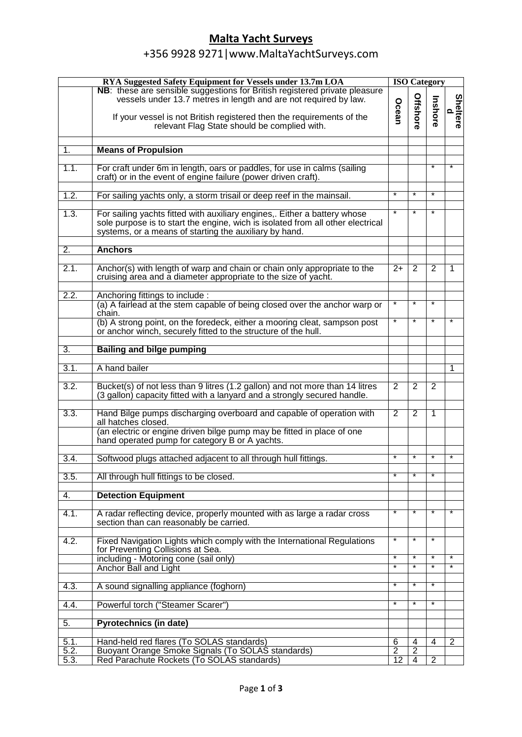## **Malta Yacht Surveys**

## +356 9928 9271|www.MaltaYachtSurveys.com

| NB: these are sensible suggestions for British registered private pleasure<br><b>Offshore</b><br>vessels under 13.7 metres in length and are not required by law.<br>Inshore<br>Ocean<br>$\Omega$<br>If your vessel is not British registered then the requirements of the<br>relevant Flag State should be complied with.<br>1.<br><b>Means of Propulsion</b><br>1.1.<br>For craft under 6m in length, oars or paddles, for use in calms (sailing<br>$\star$<br>craft) or in the event of engine failure (power driven craft).<br>$\ast$<br>¥<br>1.2.<br>$\star$<br>For sailing yachts only, a storm trisail or deep reef in the mainsail.<br>1.3.<br>$\star$<br>¥<br>For sailing yachts fitted with auxiliary engines,. Either a battery whose<br>$\star$<br>sole purpose is to start the engine, wich is isolated from all other electrical<br>systems, or a means of starting the auxiliary by hand.<br>$\overline{2}$ .<br><b>Anchors</b><br>2.1.<br>Anchor(s) with length of warp and chain or chain only appropriate to the<br>$2+$<br>2<br>2<br>1<br>cruising area and a diameter appropriate to the size of yacht.<br>2.2.<br>Anchoring fittings to include :<br>¥<br>¥<br>(a) A fairlead at the stem capable of being closed over the anchor warp or<br>$\star$<br>chain.<br>$\ast$<br>(b) A strong point, on the foredeck, either a mooring cleat, sampson post<br>$\star$<br>$\star$<br>or anchor winch, securely fitted to the structure of the hull.<br>3.<br><b>Bailing and bilge pumping</b><br>3.1.<br>A hand bailer<br>1<br>3.2.<br>Bucket(s) of not less than 9 litres (1.2 gallon) and not more than 14 litres<br>$\overline{2}$<br>2<br>2<br>(3 gallon) capacity fitted with a lanyard and a strongly secured handle.<br>3.3.<br>Hand Bilge pumps discharging overboard and capable of operation with<br>$\overline{2}$<br>2<br>1<br>all hatches closed.<br>(an electric or engine driven bilge pump may be fitted in place of one<br>hand operated pump for category B or A yachts.<br>¥<br>$\overline{\ast}$<br>$\star$<br>$\overline{\mathbf{x}}$<br>3.4.<br>Softwood plugs attached adjacent to all through hull fittings.<br>¥<br>¥<br>3.5.<br>All through hull fittings to be closed.<br>4.<br><b>Detection Equipment</b><br>¥<br>4.1.<br>$\overline{\ast}$<br>$\star$<br>¥<br>A radar reflecting device, properly mounted with as large a radar cross<br>section than can reasonably be carried.<br>¥<br>¥<br>¥<br>4.2.<br>Fixed Navigation Lights which comply with the International Regulations<br>for Preventing Collisions at Sea.<br>$\ast$<br>including - Motoring cone (sail only)<br>$\star$<br>$\star$<br>$\star$<br>$\ast$<br>$^\ast$<br>$\ast$<br>$\overline{\ast}$<br>Anchor Ball and Light<br>$\overline{\ast}$<br>$\overline{\ast}$<br>∗<br>4.3.<br>A sound signalling appliance (foghorn)<br>$\ast$<br>$\ast$<br>4.4.<br>Powerful torch ("Steamer Scarer")<br>Pyrotechnics (in date)<br>5.<br>Hand-held red flares (To SOLAS standards)<br>6<br>5.1.<br>4<br>2<br>4<br>5.2.<br>Buoyant Orange Smoke Signals (To SOLAS standards)<br>$\overline{2}$<br>$\overline{2}$<br>Red Parachute Rockets (To SOLAS standards)<br>12<br>$\overline{2}$<br>5.3.<br>$\overline{4}$ | RYA Suggested Safety Equipment for Vessels under 13.7m LOA |  | <b>ISO Category</b> |  |                 |  |  |
|------------------------------------------------------------------------------------------------------------------------------------------------------------------------------------------------------------------------------------------------------------------------------------------------------------------------------------------------------------------------------------------------------------------------------------------------------------------------------------------------------------------------------------------------------------------------------------------------------------------------------------------------------------------------------------------------------------------------------------------------------------------------------------------------------------------------------------------------------------------------------------------------------------------------------------------------------------------------------------------------------------------------------------------------------------------------------------------------------------------------------------------------------------------------------------------------------------------------------------------------------------------------------------------------------------------------------------------------------------------------------------------------------------------------------------------------------------------------------------------------------------------------------------------------------------------------------------------------------------------------------------------------------------------------------------------------------------------------------------------------------------------------------------------------------------------------------------------------------------------------------------------------------------------------------------------------------------------------------------------------------------------------------------------------------------------------------------------------------------------------------------------------------------------------------------------------------------------------------------------------------------------------------------------------------------------------------------------------------------------------------------------------------------------------------------------------------------------------------------------------------------------------------------------------------------------------------------------------------------------------------------------------------------------------------------------------------------------------------------------------------------------------------------------------------------------------------------------------------------------------------------------------------------------------------------------------------------------------------------------------------------------------------------------------------------------------------------------------------------------------------------------------------------------------------------------------------------------|------------------------------------------------------------|--|---------------------|--|-----------------|--|--|
|                                                                                                                                                                                                                                                                                                                                                                                                                                                                                                                                                                                                                                                                                                                                                                                                                                                                                                                                                                                                                                                                                                                                                                                                                                                                                                                                                                                                                                                                                                                                                                                                                                                                                                                                                                                                                                                                                                                                                                                                                                                                                                                                                                                                                                                                                                                                                                                                                                                                                                                                                                                                                                                                                                                                                                                                                                                                                                                                                                                                                                                                                                                                                                                                                  |                                                            |  |                     |  | <b>Sheltere</b> |  |  |
|                                                                                                                                                                                                                                                                                                                                                                                                                                                                                                                                                                                                                                                                                                                                                                                                                                                                                                                                                                                                                                                                                                                                                                                                                                                                                                                                                                                                                                                                                                                                                                                                                                                                                                                                                                                                                                                                                                                                                                                                                                                                                                                                                                                                                                                                                                                                                                                                                                                                                                                                                                                                                                                                                                                                                                                                                                                                                                                                                                                                                                                                                                                                                                                                                  |                                                            |  |                     |  |                 |  |  |
|                                                                                                                                                                                                                                                                                                                                                                                                                                                                                                                                                                                                                                                                                                                                                                                                                                                                                                                                                                                                                                                                                                                                                                                                                                                                                                                                                                                                                                                                                                                                                                                                                                                                                                                                                                                                                                                                                                                                                                                                                                                                                                                                                                                                                                                                                                                                                                                                                                                                                                                                                                                                                                                                                                                                                                                                                                                                                                                                                                                                                                                                                                                                                                                                                  |                                                            |  |                     |  |                 |  |  |
|                                                                                                                                                                                                                                                                                                                                                                                                                                                                                                                                                                                                                                                                                                                                                                                                                                                                                                                                                                                                                                                                                                                                                                                                                                                                                                                                                                                                                                                                                                                                                                                                                                                                                                                                                                                                                                                                                                                                                                                                                                                                                                                                                                                                                                                                                                                                                                                                                                                                                                                                                                                                                                                                                                                                                                                                                                                                                                                                                                                                                                                                                                                                                                                                                  |                                                            |  |                     |  |                 |  |  |
|                                                                                                                                                                                                                                                                                                                                                                                                                                                                                                                                                                                                                                                                                                                                                                                                                                                                                                                                                                                                                                                                                                                                                                                                                                                                                                                                                                                                                                                                                                                                                                                                                                                                                                                                                                                                                                                                                                                                                                                                                                                                                                                                                                                                                                                                                                                                                                                                                                                                                                                                                                                                                                                                                                                                                                                                                                                                                                                                                                                                                                                                                                                                                                                                                  |                                                            |  |                     |  |                 |  |  |
|                                                                                                                                                                                                                                                                                                                                                                                                                                                                                                                                                                                                                                                                                                                                                                                                                                                                                                                                                                                                                                                                                                                                                                                                                                                                                                                                                                                                                                                                                                                                                                                                                                                                                                                                                                                                                                                                                                                                                                                                                                                                                                                                                                                                                                                                                                                                                                                                                                                                                                                                                                                                                                                                                                                                                                                                                                                                                                                                                                                                                                                                                                                                                                                                                  |                                                            |  |                     |  |                 |  |  |
|                                                                                                                                                                                                                                                                                                                                                                                                                                                                                                                                                                                                                                                                                                                                                                                                                                                                                                                                                                                                                                                                                                                                                                                                                                                                                                                                                                                                                                                                                                                                                                                                                                                                                                                                                                                                                                                                                                                                                                                                                                                                                                                                                                                                                                                                                                                                                                                                                                                                                                                                                                                                                                                                                                                                                                                                                                                                                                                                                                                                                                                                                                                                                                                                                  |                                                            |  |                     |  |                 |  |  |
|                                                                                                                                                                                                                                                                                                                                                                                                                                                                                                                                                                                                                                                                                                                                                                                                                                                                                                                                                                                                                                                                                                                                                                                                                                                                                                                                                                                                                                                                                                                                                                                                                                                                                                                                                                                                                                                                                                                                                                                                                                                                                                                                                                                                                                                                                                                                                                                                                                                                                                                                                                                                                                                                                                                                                                                                                                                                                                                                                                                                                                                                                                                                                                                                                  |                                                            |  |                     |  |                 |  |  |
|                                                                                                                                                                                                                                                                                                                                                                                                                                                                                                                                                                                                                                                                                                                                                                                                                                                                                                                                                                                                                                                                                                                                                                                                                                                                                                                                                                                                                                                                                                                                                                                                                                                                                                                                                                                                                                                                                                                                                                                                                                                                                                                                                                                                                                                                                                                                                                                                                                                                                                                                                                                                                                                                                                                                                                                                                                                                                                                                                                                                                                                                                                                                                                                                                  |                                                            |  |                     |  |                 |  |  |
|                                                                                                                                                                                                                                                                                                                                                                                                                                                                                                                                                                                                                                                                                                                                                                                                                                                                                                                                                                                                                                                                                                                                                                                                                                                                                                                                                                                                                                                                                                                                                                                                                                                                                                                                                                                                                                                                                                                                                                                                                                                                                                                                                                                                                                                                                                                                                                                                                                                                                                                                                                                                                                                                                                                                                                                                                                                                                                                                                                                                                                                                                                                                                                                                                  |                                                            |  |                     |  |                 |  |  |
|                                                                                                                                                                                                                                                                                                                                                                                                                                                                                                                                                                                                                                                                                                                                                                                                                                                                                                                                                                                                                                                                                                                                                                                                                                                                                                                                                                                                                                                                                                                                                                                                                                                                                                                                                                                                                                                                                                                                                                                                                                                                                                                                                                                                                                                                                                                                                                                                                                                                                                                                                                                                                                                                                                                                                                                                                                                                                                                                                                                                                                                                                                                                                                                                                  |                                                            |  |                     |  |                 |  |  |
|                                                                                                                                                                                                                                                                                                                                                                                                                                                                                                                                                                                                                                                                                                                                                                                                                                                                                                                                                                                                                                                                                                                                                                                                                                                                                                                                                                                                                                                                                                                                                                                                                                                                                                                                                                                                                                                                                                                                                                                                                                                                                                                                                                                                                                                                                                                                                                                                                                                                                                                                                                                                                                                                                                                                                                                                                                                                                                                                                                                                                                                                                                                                                                                                                  |                                                            |  |                     |  |                 |  |  |
|                                                                                                                                                                                                                                                                                                                                                                                                                                                                                                                                                                                                                                                                                                                                                                                                                                                                                                                                                                                                                                                                                                                                                                                                                                                                                                                                                                                                                                                                                                                                                                                                                                                                                                                                                                                                                                                                                                                                                                                                                                                                                                                                                                                                                                                                                                                                                                                                                                                                                                                                                                                                                                                                                                                                                                                                                                                                                                                                                                                                                                                                                                                                                                                                                  |                                                            |  |                     |  |                 |  |  |
|                                                                                                                                                                                                                                                                                                                                                                                                                                                                                                                                                                                                                                                                                                                                                                                                                                                                                                                                                                                                                                                                                                                                                                                                                                                                                                                                                                                                                                                                                                                                                                                                                                                                                                                                                                                                                                                                                                                                                                                                                                                                                                                                                                                                                                                                                                                                                                                                                                                                                                                                                                                                                                                                                                                                                                                                                                                                                                                                                                                                                                                                                                                                                                                                                  |                                                            |  |                     |  |                 |  |  |
|                                                                                                                                                                                                                                                                                                                                                                                                                                                                                                                                                                                                                                                                                                                                                                                                                                                                                                                                                                                                                                                                                                                                                                                                                                                                                                                                                                                                                                                                                                                                                                                                                                                                                                                                                                                                                                                                                                                                                                                                                                                                                                                                                                                                                                                                                                                                                                                                                                                                                                                                                                                                                                                                                                                                                                                                                                                                                                                                                                                                                                                                                                                                                                                                                  |                                                            |  |                     |  |                 |  |  |
|                                                                                                                                                                                                                                                                                                                                                                                                                                                                                                                                                                                                                                                                                                                                                                                                                                                                                                                                                                                                                                                                                                                                                                                                                                                                                                                                                                                                                                                                                                                                                                                                                                                                                                                                                                                                                                                                                                                                                                                                                                                                                                                                                                                                                                                                                                                                                                                                                                                                                                                                                                                                                                                                                                                                                                                                                                                                                                                                                                                                                                                                                                                                                                                                                  |                                                            |  |                     |  |                 |  |  |
|                                                                                                                                                                                                                                                                                                                                                                                                                                                                                                                                                                                                                                                                                                                                                                                                                                                                                                                                                                                                                                                                                                                                                                                                                                                                                                                                                                                                                                                                                                                                                                                                                                                                                                                                                                                                                                                                                                                                                                                                                                                                                                                                                                                                                                                                                                                                                                                                                                                                                                                                                                                                                                                                                                                                                                                                                                                                                                                                                                                                                                                                                                                                                                                                                  |                                                            |  |                     |  |                 |  |  |
|                                                                                                                                                                                                                                                                                                                                                                                                                                                                                                                                                                                                                                                                                                                                                                                                                                                                                                                                                                                                                                                                                                                                                                                                                                                                                                                                                                                                                                                                                                                                                                                                                                                                                                                                                                                                                                                                                                                                                                                                                                                                                                                                                                                                                                                                                                                                                                                                                                                                                                                                                                                                                                                                                                                                                                                                                                                                                                                                                                                                                                                                                                                                                                                                                  |                                                            |  |                     |  |                 |  |  |
|                                                                                                                                                                                                                                                                                                                                                                                                                                                                                                                                                                                                                                                                                                                                                                                                                                                                                                                                                                                                                                                                                                                                                                                                                                                                                                                                                                                                                                                                                                                                                                                                                                                                                                                                                                                                                                                                                                                                                                                                                                                                                                                                                                                                                                                                                                                                                                                                                                                                                                                                                                                                                                                                                                                                                                                                                                                                                                                                                                                                                                                                                                                                                                                                                  |                                                            |  |                     |  |                 |  |  |
|                                                                                                                                                                                                                                                                                                                                                                                                                                                                                                                                                                                                                                                                                                                                                                                                                                                                                                                                                                                                                                                                                                                                                                                                                                                                                                                                                                                                                                                                                                                                                                                                                                                                                                                                                                                                                                                                                                                                                                                                                                                                                                                                                                                                                                                                                                                                                                                                                                                                                                                                                                                                                                                                                                                                                                                                                                                                                                                                                                                                                                                                                                                                                                                                                  |                                                            |  |                     |  |                 |  |  |
|                                                                                                                                                                                                                                                                                                                                                                                                                                                                                                                                                                                                                                                                                                                                                                                                                                                                                                                                                                                                                                                                                                                                                                                                                                                                                                                                                                                                                                                                                                                                                                                                                                                                                                                                                                                                                                                                                                                                                                                                                                                                                                                                                                                                                                                                                                                                                                                                                                                                                                                                                                                                                                                                                                                                                                                                                                                                                                                                                                                                                                                                                                                                                                                                                  |                                                            |  |                     |  |                 |  |  |
|                                                                                                                                                                                                                                                                                                                                                                                                                                                                                                                                                                                                                                                                                                                                                                                                                                                                                                                                                                                                                                                                                                                                                                                                                                                                                                                                                                                                                                                                                                                                                                                                                                                                                                                                                                                                                                                                                                                                                                                                                                                                                                                                                                                                                                                                                                                                                                                                                                                                                                                                                                                                                                                                                                                                                                                                                                                                                                                                                                                                                                                                                                                                                                                                                  |                                                            |  |                     |  |                 |  |  |
|                                                                                                                                                                                                                                                                                                                                                                                                                                                                                                                                                                                                                                                                                                                                                                                                                                                                                                                                                                                                                                                                                                                                                                                                                                                                                                                                                                                                                                                                                                                                                                                                                                                                                                                                                                                                                                                                                                                                                                                                                                                                                                                                                                                                                                                                                                                                                                                                                                                                                                                                                                                                                                                                                                                                                                                                                                                                                                                                                                                                                                                                                                                                                                                                                  |                                                            |  |                     |  |                 |  |  |
|                                                                                                                                                                                                                                                                                                                                                                                                                                                                                                                                                                                                                                                                                                                                                                                                                                                                                                                                                                                                                                                                                                                                                                                                                                                                                                                                                                                                                                                                                                                                                                                                                                                                                                                                                                                                                                                                                                                                                                                                                                                                                                                                                                                                                                                                                                                                                                                                                                                                                                                                                                                                                                                                                                                                                                                                                                                                                                                                                                                                                                                                                                                                                                                                                  |                                                            |  |                     |  |                 |  |  |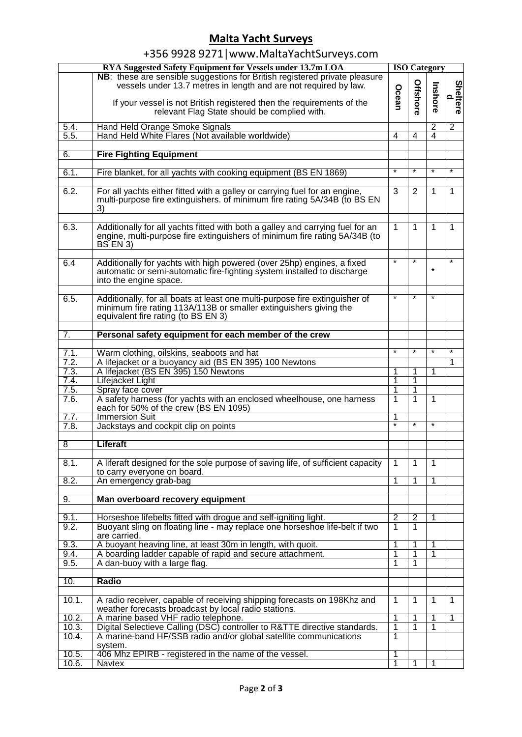## **Malta Yacht Surveys**

|  | +356 9928 9271   www.MaltaYachtSurveys.com |
|--|--------------------------------------------|
|--|--------------------------------------------|

|                | RYA Suggested Safety Equipment for Vessels under 13.7m LOA                                                                                                                                                                                                              |                         |                | <b>ISO Category</b>     |                |  |  |  |
|----------------|-------------------------------------------------------------------------------------------------------------------------------------------------------------------------------------------------------------------------------------------------------------------------|-------------------------|----------------|-------------------------|----------------|--|--|--|
|                | NB: these are sensible suggestions for British registered private pleasure<br>vessels under 13.7 metres in length and are not required by law.<br>If your vessel is not British registered then the requirements of the<br>relevant Flag State should be complied with. | Ocean                   | Offshore       | Inshore                 | Sheltere<br>d  |  |  |  |
|                |                                                                                                                                                                                                                                                                         |                         |                |                         |                |  |  |  |
| 5.4.           | Hand Held Orange Smoke Signals                                                                                                                                                                                                                                          |                         |                | 2                       | $\overline{2}$ |  |  |  |
| 5.5.           | Hand Held White Flares (Not available worldwide)                                                                                                                                                                                                                        | $\overline{4}$          | 4              | $\overline{\mathbf{4}}$ |                |  |  |  |
|                |                                                                                                                                                                                                                                                                         |                         |                |                         |                |  |  |  |
| 6.             | <b>Fire Fighting Equipment</b>                                                                                                                                                                                                                                          |                         |                |                         |                |  |  |  |
| 6.1.           |                                                                                                                                                                                                                                                                         | ¥                       |                | ¥                       | *              |  |  |  |
|                | Fire blanket, for all yachts with cooking equipment (BS EN 1869)                                                                                                                                                                                                        |                         |                |                         |                |  |  |  |
| 6.2.           | For all yachts either fitted with a galley or carrying fuel for an engine,<br>multi-purpose fire extinguishers. of minimum fire rating 5A/34B (to BS EN<br>3)                                                                                                           | 3                       | 2              | 1                       | 1              |  |  |  |
| 6.3.           | Additionally for all yachts fitted with both a galley and carrying fuel for an<br>engine, multi-purpose fire extinguishers of minimum fire rating 5A/34B (to<br><b>BS EN 3)</b>                                                                                         | 1                       | 1              | 1                       | 1              |  |  |  |
| 6.4            | Additionally for yachts with high powered (over 25hp) engines, a fixed                                                                                                                                                                                                  | ¥                       | ¥              |                         | $\star$        |  |  |  |
|                | automatic or semi-automatic fire-fighting system installed to discharge<br>into the engine space.                                                                                                                                                                       |                         |                | $\star$                 |                |  |  |  |
| 6.5.           | Additionally, for all boats at least one multi-purpose fire extinguisher of<br>minimum fire rating 113A/113B or smaller extinguishers giving the<br>equivalent fire rating (to BS EN 3)                                                                                 | ¥                       | ¥              | $\star$                 |                |  |  |  |
|                |                                                                                                                                                                                                                                                                         |                         |                |                         |                |  |  |  |
| 7.             | Personal safety equipment for each member of the crew                                                                                                                                                                                                                   |                         |                |                         |                |  |  |  |
| 7.1.           | Warm clothing, oilskins, seaboots and hat                                                                                                                                                                                                                               | ¥                       | $\ast$         | $\star$                 | $\star$        |  |  |  |
| 7.2.           | A lifejacket or a buoyancy aid (BS EN 395) 100 Newtons                                                                                                                                                                                                                  |                         |                |                         | 1              |  |  |  |
| 7.3.           | A lifejacket (BS EN 395) 150 Newtons                                                                                                                                                                                                                                    | 1                       | 1              | 1                       |                |  |  |  |
| 7.4.           | Lifejacket Light                                                                                                                                                                                                                                                        | 1                       | 1              |                         |                |  |  |  |
| 7.5.           | Spray face cover                                                                                                                                                                                                                                                        | 1                       | 1              |                         |                |  |  |  |
| 7.6.           | A safety harness (for yachts with an enclosed wheelhouse, one harness<br>each for 50% of the crew (BS EN 1095)                                                                                                                                                          | $\overline{1}$          | 1              | 1                       |                |  |  |  |
| 7.7.           | <b>Immersion Suit</b>                                                                                                                                                                                                                                                   | 1<br>¥                  | ¥              | *                       |                |  |  |  |
| 7.8.           | Jackstays and cockpit clip on points                                                                                                                                                                                                                                    |                         |                |                         |                |  |  |  |
| $\overline{8}$ | Liferaft                                                                                                                                                                                                                                                                |                         |                |                         |                |  |  |  |
|                |                                                                                                                                                                                                                                                                         |                         |                |                         |                |  |  |  |
| 8.1.           | A liferaft designed for the sole purpose of saving life, of sufficient capacity<br>to carry everyone on board.                                                                                                                                                          | 1                       | 1              | 1                       |                |  |  |  |
| 8.2.           | An emergency grab-bag                                                                                                                                                                                                                                                   | 1                       | 1              | 1                       |                |  |  |  |
|                |                                                                                                                                                                                                                                                                         |                         |                |                         |                |  |  |  |
| 9.             | Man overboard recovery equipment                                                                                                                                                                                                                                        |                         |                |                         |                |  |  |  |
| 9.1.           | Horseshoe lifebelts fitted with drogue and self-igniting light.                                                                                                                                                                                                         | $\overline{2}$          | 2              | 1                       |                |  |  |  |
| 9.2.           | Buoyant sling on floating line - may replace one horseshoe life-belt if two<br>are carried.                                                                                                                                                                             | $\overline{1}$          | $\overline{1}$ |                         |                |  |  |  |
| 9.3.           | A buoyant heaving line, at least 30m in length, with quoit.                                                                                                                                                                                                             | 1                       | 1              | 1                       |                |  |  |  |
| 9.4.           | A boarding ladder capable of rapid and secure attachment.                                                                                                                                                                                                               | 1                       | 1              | 1                       |                |  |  |  |
| 9.5.           | A dan-buoy with a large flag.                                                                                                                                                                                                                                           | 1                       | 1              |                         |                |  |  |  |
|                |                                                                                                                                                                                                                                                                         |                         |                |                         |                |  |  |  |
| 10.            | Radio                                                                                                                                                                                                                                                                   |                         |                |                         |                |  |  |  |
| 10.1.          | A radio receiver, capable of receiving shipping forecasts on 198Khz and<br>weather forecasts broadcast by local radio stations.                                                                                                                                         | 1                       | 1              | 1                       | 1              |  |  |  |
| 10.2.          | A marine based VHF radio telephone.                                                                                                                                                                                                                                     | $\overline{\mathbf{1}}$ | 1              | 1                       | 1              |  |  |  |
| 10.3.          | Digital Selectieve Calling (DSC) controller to R&TTE directive standards.                                                                                                                                                                                               | 1                       | 1              | $\mathbf 1$             |                |  |  |  |
| 10.4.          | A marine-band HF/SSB radio and/or global satellite communications                                                                                                                                                                                                       | 1                       |                |                         |                |  |  |  |
|                | system.                                                                                                                                                                                                                                                                 |                         |                |                         |                |  |  |  |
| 10.5.          | 406 Mhz EPIRB - registered in the name of the vessel.                                                                                                                                                                                                                   | 1                       |                |                         |                |  |  |  |
| 10.6.          | <b>Navtex</b>                                                                                                                                                                                                                                                           | 1                       | 1              | 1                       |                |  |  |  |